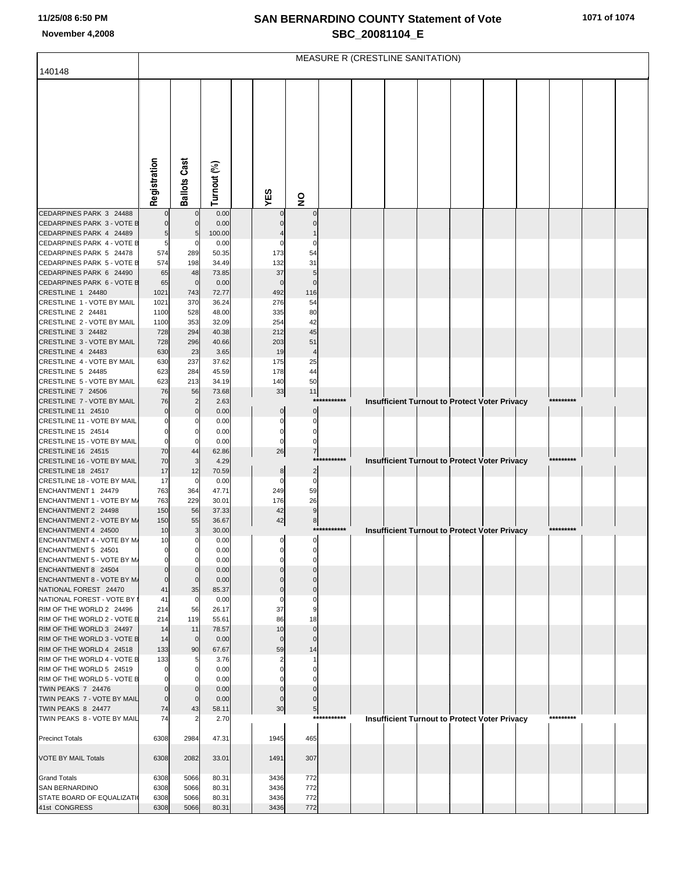## **SAN BERNARDINO COUNTY Statement of Vote November 4,2008 SBC\_20081104\_E**

|                                                          | MEASURE R (CRESTLINE SANITATION) |                         |                |  |                |                            |             |  |  |  |  |                                                      |           |  |
|----------------------------------------------------------|----------------------------------|-------------------------|----------------|--|----------------|----------------------------|-------------|--|--|--|--|------------------------------------------------------|-----------|--|
| 140148                                                   |                                  |                         |                |  |                |                            |             |  |  |  |  |                                                      |           |  |
|                                                          |                                  |                         |                |  |                |                            |             |  |  |  |  |                                                      |           |  |
|                                                          |                                  |                         |                |  |                |                            |             |  |  |  |  |                                                      |           |  |
|                                                          |                                  |                         |                |  |                |                            |             |  |  |  |  |                                                      |           |  |
|                                                          |                                  |                         |                |  |                |                            |             |  |  |  |  |                                                      |           |  |
|                                                          |                                  |                         |                |  |                |                            |             |  |  |  |  |                                                      |           |  |
|                                                          |                                  |                         |                |  |                |                            |             |  |  |  |  |                                                      |           |  |
|                                                          |                                  |                         |                |  |                |                            |             |  |  |  |  |                                                      |           |  |
|                                                          |                                  |                         |                |  |                |                            |             |  |  |  |  |                                                      |           |  |
|                                                          | Registration                     | <b>Ballots Cast</b>     | Turnout (%)    |  |                |                            |             |  |  |  |  |                                                      |           |  |
|                                                          |                                  |                         |                |  | YES            | $\frac{1}{2}$              |             |  |  |  |  |                                                      |           |  |
| CEDARPINES PARK 3 24488                                  |                                  | 0                       | 0.00           |  |                |                            |             |  |  |  |  |                                                      |           |  |
| CEDARPINES PARK 3 - VOTE B<br>CEDARPINES PARK 4 24489    | 5                                | $\Omega$<br>5           | 0.00<br>100.00 |  |                |                            |             |  |  |  |  |                                                      |           |  |
| CEDARPINES PARK 4 - VOTE B                               | 5                                | 0                       | 0.00           |  |                |                            |             |  |  |  |  |                                                      |           |  |
| CEDARPINES PARK 5 24478                                  | 574                              | 289                     | 50.35          |  | 173            | 54                         |             |  |  |  |  |                                                      |           |  |
| CEDARPINES PARK 5 - VOTE B                               | 574                              | 198                     | 34.49          |  | 132            | 31                         |             |  |  |  |  |                                                      |           |  |
| CEDARPINES PARK 6 24490<br>CEDARPINES PARK 6 - VOTE B    | 65<br>65                         | 48<br>$\mathbf 0$       | 73.85<br>0.00  |  | 37<br>$\Omega$ | 5                          |             |  |  |  |  |                                                      |           |  |
| CRESTLINE 1 24480                                        | 1021                             | 743                     | 72.77          |  | 492            | 116                        |             |  |  |  |  |                                                      |           |  |
| CRESTLINE 1 - VOTE BY MAIL                               | 1021                             | 370                     | 36.24          |  | 276            | 54                         |             |  |  |  |  |                                                      |           |  |
| CRESTLINE 2 24481                                        | 1100                             | 528                     | 48.00          |  | 335            | 80                         |             |  |  |  |  |                                                      |           |  |
| CRESTLINE 2 - VOTE BY MAIL<br>CRESTLINE 3 24482          | 1100<br>728                      | 353<br>294              | 32.09<br>40.38 |  | 254<br>212     | 42<br>45                   |             |  |  |  |  |                                                      |           |  |
| CRESTLINE 3 - VOTE BY MAIL                               | 728                              | 296                     | 40.66          |  | 203            | 51                         |             |  |  |  |  |                                                      |           |  |
| CRESTLINE 4 24483                                        | 630                              | 23                      | 3.65           |  | 19             |                            |             |  |  |  |  |                                                      |           |  |
| CRESTLINE 4 - VOTE BY MAIL                               | 630                              | 237                     | 37.62          |  | 175            | 25                         |             |  |  |  |  |                                                      |           |  |
| CRESTLINE 5 24485<br>CRESTLINE 5 - VOTE BY MAIL          | 623                              | 284                     | 45.59          |  | 178            | 44                         |             |  |  |  |  |                                                      |           |  |
| CRESTLINE 7 24506                                        | 623<br>76                        | 213<br>56               | 34.19<br>73.68 |  | 140<br>33      | 50<br>11                   |             |  |  |  |  |                                                      |           |  |
| CRESTLINE 7 - VOTE BY MAIL                               | 76                               | $\overline{2}$          | 2.63           |  |                |                            | *********** |  |  |  |  | Insufficient Turnout to Protect Voter Privacy        | ********* |  |
| CRESTLINE 11 24510                                       |                                  | 0                       | 0.00           |  | $\overline{0}$ | $\overline{0}$             |             |  |  |  |  |                                                      |           |  |
| CRESTLINE 11 - VOTE BY MAIL<br>CRESTLINE 15 24514        |                                  | 0<br>0                  | 0.00<br>0.00   |  |                | $\Omega$                   |             |  |  |  |  |                                                      |           |  |
| CRESTLINE 15 - VOTE BY MAIL                              |                                  | 0                       | 0.00           |  |                |                            |             |  |  |  |  |                                                      |           |  |
| CRESTLINE 16 24515                                       | 70                               | 44                      | 62.86          |  | 26             | 7                          |             |  |  |  |  |                                                      |           |  |
| CRESTLINE 16 - VOTE BY MAIL                              | 70                               | 3                       | 4.29           |  |                |                            | *********** |  |  |  |  | Insufficient Turnout to Protect Voter Privacy        | ********* |  |
| CRESTLINE 18 24517<br>CRESTLINE 18 - VOTE BY MAIL        | 17<br>17                         | 12<br>0                 | 70.59<br>0.00  |  | 8<br>0         | 2 <sup>1</sup><br>$\Omega$ |             |  |  |  |  |                                                      |           |  |
| ENCHANTMENT 1 24479                                      | 763                              | 364                     | 47.71          |  | 249            | 59                         |             |  |  |  |  |                                                      |           |  |
| <b>ENCHANTMENT 1 - VOTE BY M/</b>                        | 763                              | 229                     | 30.01          |  | 176            | 26                         |             |  |  |  |  |                                                      |           |  |
| ENCHANTMENT 2 24498                                      | 150                              | 56                      | 37.33          |  | 42             | 9                          |             |  |  |  |  |                                                      |           |  |
| <b>ENCHANTMENT 2 - VOTE BY M/</b><br>ENCHANTMENT 4 24500 | 150<br>10                        | 55<br>3                 | 36.67<br>30.00 |  | 42             | 8                          | *********** |  |  |  |  | <b>Insufficient Turnout to Protect Voter Privacy</b> | ********* |  |
| ENCHANTMENT 4 - VOTE BY M/                               | 10                               | 0                       | 0.00           |  | $\overline{0}$ | $\overline{0}$             |             |  |  |  |  |                                                      |           |  |
| ENCHANTMENT 5 24501                                      |                                  | 0                       | 0.00           |  |                |                            |             |  |  |  |  |                                                      |           |  |
| ENCHANTMENT 5 - VOTE BY M/                               |                                  | O                       | 0.00           |  |                |                            |             |  |  |  |  |                                                      |           |  |
| ENCHANTMENT 8 24504<br>ENCHANTMENT 8 - VOTE BY M/        |                                  | $\Omega$<br>$\mathbf 0$ | 0.00<br>0.00   |  |                | $\Omega$                   |             |  |  |  |  |                                                      |           |  |
| NATIONAL FOREST 24470                                    | 41                               | 35                      | 85.37          |  | $\Omega$       | $\mathbf{0}$               |             |  |  |  |  |                                                      |           |  |
| NATIONAL FOREST - VOTE BY I                              | 41                               | 0                       | 0.00           |  | 0              | 0                          |             |  |  |  |  |                                                      |           |  |
| RIM OF THE WORLD 2 24496                                 | 214                              | 56                      | 26.17          |  | 37             | 9                          |             |  |  |  |  |                                                      |           |  |
| RIM OF THE WORLD 2 - VOTE B<br>RIM OF THE WORLD 3 24497  | 214<br>14                        | 119<br>11               | 55.61<br>78.57 |  | 86<br>10       | 18<br>$\mathbf 0$          |             |  |  |  |  |                                                      |           |  |
| RIM OF THE WORLD 3 - VOTE B                              | 14                               | $\mathbf 0$             | 0.00           |  | $\Omega$       | $\mathbf{0}$               |             |  |  |  |  |                                                      |           |  |
| RIM OF THE WORLD 4 24518                                 | 133                              | 90                      | 67.67          |  | 59             | 14                         |             |  |  |  |  |                                                      |           |  |
| RIM OF THE WORLD 4 - VOTE B<br>RIM OF THE WORLD 5 24519  | 133                              | 5<br>0                  | 3.76<br>0.00   |  | $\overline{2}$ |                            |             |  |  |  |  |                                                      |           |  |
| RIM OF THE WORLD 5 - VOTE B                              |                                  | O                       | 0.00           |  |                |                            |             |  |  |  |  |                                                      |           |  |
| TWIN PEAKS 7 24476                                       |                                  | $\mathbf 0$             | 0.00           |  |                |                            |             |  |  |  |  |                                                      |           |  |
| TWIN PEAKS 7 - VOTE BY MAIL                              |                                  | $\mathbf 0$             | 0.00           |  |                | $\mathbf{0}$               |             |  |  |  |  |                                                      |           |  |
| TWIN PEAKS 8 24477<br>TWIN PEAKS 8 - VOTE BY MAIL        | 74<br>74                         | 43<br>$\overline{2}$    | 58.11<br>2.70  |  | 30             | $5 \mid$                   | *********** |  |  |  |  | <b>Insufficient Turnout to Protect Voter Privacy</b> | ********* |  |
|                                                          |                                  |                         |                |  |                |                            |             |  |  |  |  |                                                      |           |  |
| <b>Precinct Totals</b>                                   | 6308                             | 2984                    | 47.31          |  | 1945           | 465                        |             |  |  |  |  |                                                      |           |  |
| <b>VOTE BY MAIL Totals</b>                               | 6308                             | 2082                    | 33.01          |  | 1491           | 307                        |             |  |  |  |  |                                                      |           |  |
| <b>Grand Totals</b>                                      | 6308                             | 5066                    | 80.31          |  | 3436           | 772                        |             |  |  |  |  |                                                      |           |  |
| <b>SAN BERNARDINO</b>                                    | 6308                             | 5066                    | 80.31          |  | 3436           | 772                        |             |  |  |  |  |                                                      |           |  |
| <b>STATE BOARD OF EQUALIZATI</b>                         | 6308                             | 5066                    | 80.31          |  | 3436           | 772                        |             |  |  |  |  |                                                      |           |  |
| 41st CONGRESS                                            | 6308                             | 5066                    | 80.31          |  | 3436           | 772                        |             |  |  |  |  |                                                      |           |  |